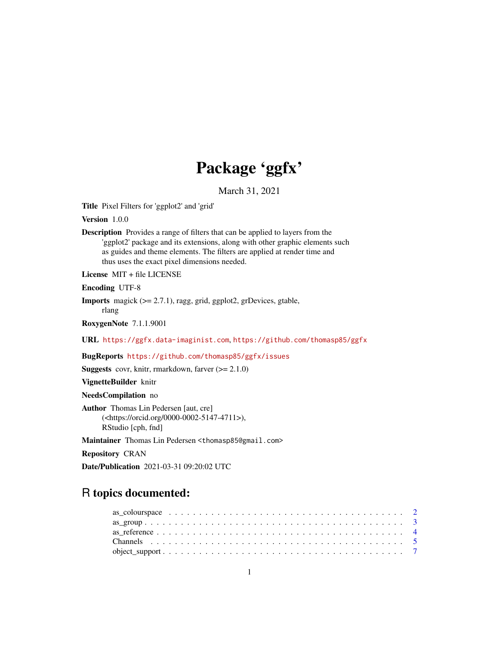# Package 'ggfx'

March 31, 2021

<span id="page-0-0"></span>Title Pixel Filters for 'ggplot2' and 'grid'

Version 1.0.0

Description Provides a range of filters that can be applied to layers from the 'ggplot2' package and its extensions, along with other graphic elements such as guides and theme elements. The filters are applied at render time and thus uses the exact pixel dimensions needed.

License MIT + file LICENSE

Encoding UTF-8

Imports magick (>= 2.7.1), ragg, grid, ggplot2, grDevices, gtable, rlang

RoxygenNote 7.1.1.9001

URL <https://ggfx.data-imaginist.com>, <https://github.com/thomasp85/ggfx>

BugReports <https://github.com/thomasp85/ggfx/issues>

**Suggests** covr, knitr, rmarkdown, farver  $(>= 2.1.0)$ 

VignetteBuilder knitr

NeedsCompilation no

Author Thomas Lin Pedersen [aut, cre] (<https://orcid.org/0000-0002-5147-4711>), RStudio [cph, fnd]

Maintainer Thomas Lin Pedersen <thomasp85@gmail.com>

Repository CRAN

Date/Publication 2021-03-31 09:20:02 UTC

# R topics documented: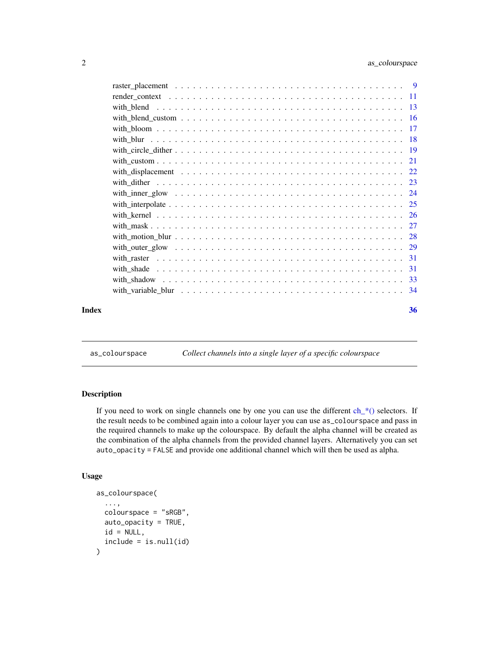<span id="page-1-0"></span>

<span id="page-1-1"></span>as\_colourspace *Collect channels into a single layer of a specific colourspace*

# Description

If you need to work on single channels one by one you can use the different  $ch_{\mathcal{L}}(s)$  selectors. If the result needs to be combined again into a colour layer you can use as\_colourspace and pass in the required channels to make up the colourspace. By default the alpha channel will be created as the combination of the alpha channels from the provided channel layers. Alternatively you can set auto\_opacity = FALSE and provide one additional channel which will then be used as alpha.

# Usage

```
as_colourspace(
  ...,
  colourspace = "sRGB",
  auto_opacity = TRUE,
  id = NULL,include = is.null(id)
\mathcal{L}
```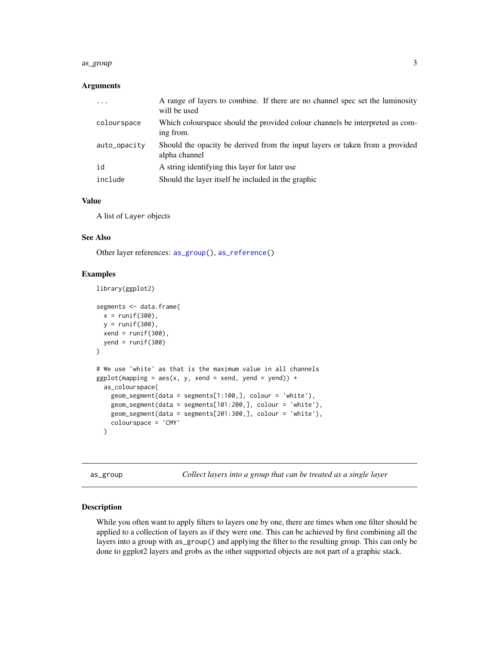#### <span id="page-2-0"></span>as\_group 3

#### **Arguments**

| .            | A range of layers to combine. If there are no channel spec set the luminosity<br>will be used |
|--------------|-----------------------------------------------------------------------------------------------|
| colourspace  | Which colourspace should the provided colour channels be interpreted as com-<br>ing from.     |
| auto_opacity | Should the opacity be derived from the input layers or taken from a provided<br>alpha channel |
| id           | A string identifying this layer for later use                                                 |
| include      | Should the layer itself be included in the graphic                                            |

# Value

A list of Layer objects

library(ggplot2)

# See Also

Other layer references: [as\\_group\(](#page-2-1)), [as\\_reference\(](#page-3-1))

# Examples

```
segments <- data.frame(
  x = runif(300),
  y = runif(300),
  xend = runif(300),
  yend = runif(300)\lambda# We use 'white' as that is the maximum value in all channels
ggplot(mapping = aes(x, y, xend = xend, yend = yend) +as_colourspace(
    geom_segment(data = segments[1:100,], colour = 'white'),
    geom_segment(data = segments[101:200,], colour = 'white'),
   geom_segment(data = segments[201:300,], colour = 'white'),
   colourspace = 'CMY'
  \lambda
```
<span id="page-2-1"></span>as\_group *Collect layers into a group that can be treated as a single layer*

#### Description

While you often want to apply filters to layers one by one, there are times when one filter should be applied to a collection of layers as if they were one. This can be achieved by first combining all the layers into a group with as\_group() and applying the filter to the resulting group. This can only be done to ggplot2 layers and grobs as the other supported objects are not part of a graphic stack.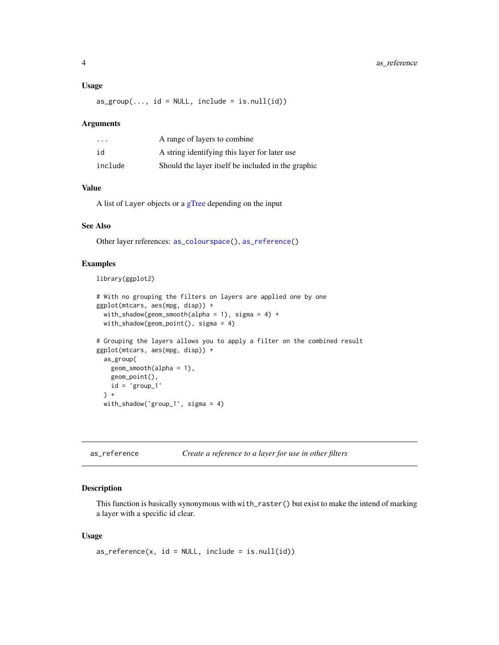#### <span id="page-3-0"></span>Usage

 $as\_group(..., id = NULL, include = is.null(id))$ 

#### Arguments

| $\cdot$ $\cdot$ $\cdot$ | A range of layers to combine                       |
|-------------------------|----------------------------------------------------|
| id                      | A string identifying this layer for later use      |
| include                 | Should the layer itself be included in the graphic |

# Value

A list of Layer objects or a [gTree](#page-0-0) depending on the input

#### See Also

Other layer references: [as\\_colourspace\(](#page-1-1)), [as\\_reference\(](#page-3-1))

# Examples

```
library(ggplot2)
```

```
# With no grouping the filters on layers are applied one by one
ggplot(mtcars, aes(mpg, disp)) +
 with_shadow(geom_smooth(alpha = 1), sigma = 4) +
 with_shadow(geom_point(), sigma = 4)
# Grouping the layers allows you to apply a filter on the combined result
ggplot(mtcars, aes(mpg, disp)) +
 as_group(
   geom_smooth(alpha = 1),
   geom_point(),
   id = 'group_1') +with_shadow('group_1', sigma = 4)
```
<span id="page-3-1"></span>as\_reference *Create a reference to a layer for use in other filters*

# Description

This function is basically synonymous with with\_raster() but exist to make the intend of marking a layer with a specific id clear.

# Usage

 $as\_reference(x, id = NULL, include = is .null(id))$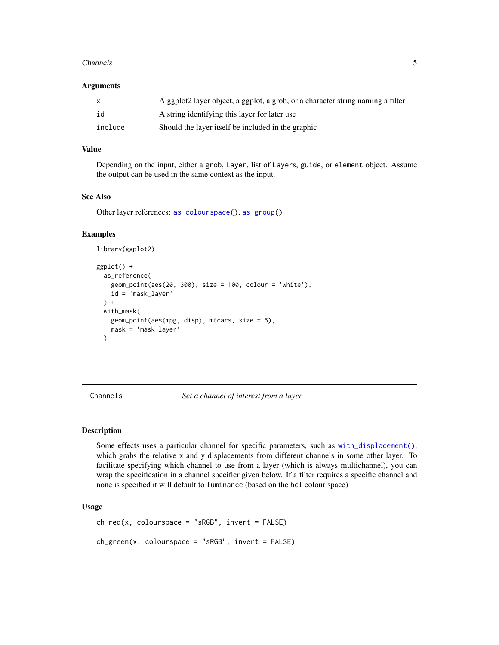#### <span id="page-4-0"></span>Channels 5

#### **Arguments**

| X       | A ggplot2 layer object, a ggplot, a grob, or a character string naming a filter |
|---------|---------------------------------------------------------------------------------|
| id      | A string identifying this layer for later use                                   |
| include | Should the layer itself be included in the graphic                              |

# Value

Depending on the input, either a grob, Layer, list of Layers, guide, or element object. Assume the output can be used in the same context as the input.

# See Also

Other layer references: [as\\_colourspace\(](#page-1-1)), [as\\_group\(](#page-2-1))

# Examples

```
library(ggplot2)
```

```
ggplot() +
 as_reference(
   geom_point(aes(20, 300), size = 100, colour = 'white'),
   id = 'mask_layer'
 ) +
 with_mask(
   geom_point(aes(mpg, disp), mtcars, size = 5),
   mask = 'mask_layer'
 \lambda
```
<span id="page-4-2"></span>Channels *Set a channel of interest from a layer*

# <span id="page-4-1"></span>Description

Some effects uses a particular channel for specific parameters, such as [with\\_displacement\(\)](#page-21-1), which grabs the relative x and y displacements from different channels in some other layer. To facilitate specifying which channel to use from a layer (which is always multichannel), you can wrap the specification in a channel specifier given below. If a filter requires a specific channel and none is specified it will default to luminance (based on the hcl colour space)

#### Usage

```
ch_{red}(x, colourspace = "sRGB", invert = FALSE)ch\_green(x, colourspace = "sRGB", invert = FALSE)
```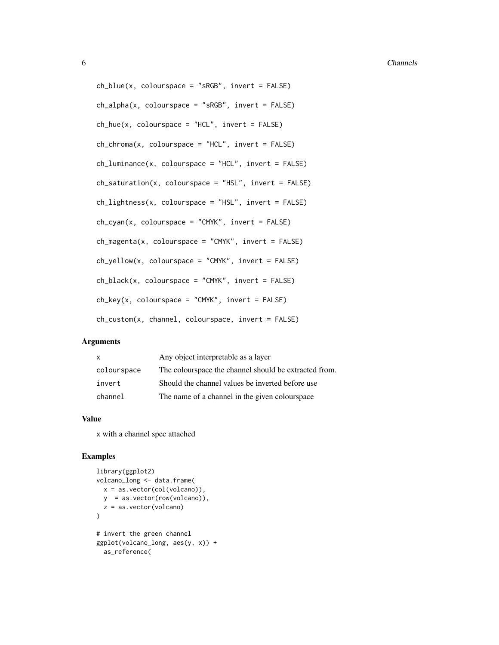```
ch\_blue(x, colourspace = "sRGB", invert = FALSE)ch_{a}lpha(x, colourspace = "sRGB", invert = FALSE)
ch\_hue(x, colourspace = "HCL", invert = FALSE)ch_{\text{c}}hroma(x, colourspace = "HCL", invert = FALSE)
ch_luminance(x, colourspace = "HCL", invert = FALSE)ch\_saturation(x, colourspace = "HSL", invert = FALSE)ch_{\text{lightness}}(x, \text{ colourspace} = "HSL", \text{ invert} = FALSE)ch_cyan(x, colourspace = "CMYK", invert = FALSE)
ch_magenta(x, colourspace = "CMYK", invert = FALSE)
ch_yellow(x, colourspace = "CMYK", invert = FALSE)
ch\_black(x, colourspace = "CMYK", invert = FALSE)ch_{\text{key}}(x, \text{ colourspace} = "CMYK", \text{ invert} = FALSE)ch_custom(x, channel, colourspace, invert = FALSE)
```
# **Arguments**

| $\mathsf{x}$ | Any object interpretable as a layer                   |
|--------------|-------------------------------------------------------|
| colourspace  | The colourspace the channel should be extracted from. |
| invert       | Should the channel values be inverted before use      |
| channel      | The name of a channel in the given colourspace        |

#### Value

x with a channel spec attached

# Examples

```
library(ggplot2)
volcano_long <- data.frame(
  x = as.vector(col(volcano)),
  y = as.vector(row(volcano)),
  z = as.vector(volcano)
)
# invert the green channel
ggplot(volcano_long, aes(y, x)) +
 as_reference(
```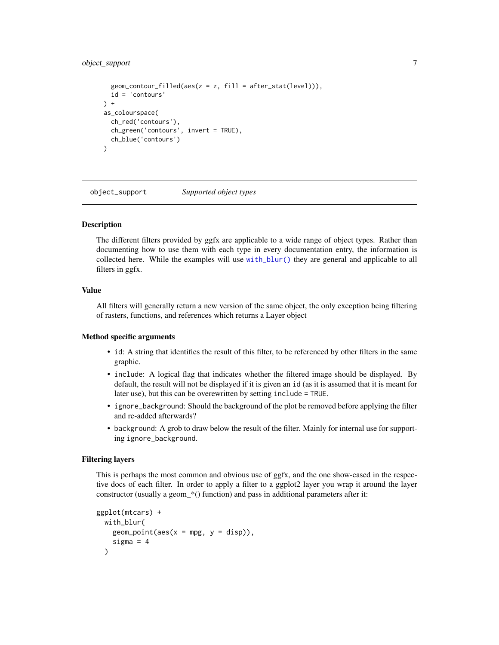# <span id="page-6-0"></span>object\_support 7

```
geom_contour_filled(aes(z = z, fill = after_stat(level))),
  id = 'contours'
) +as_colourspace(
  ch_red('contours'),
  ch_green('contours', invert = TRUE),
  ch_blue('contours')
\mathcal{L}
```
<span id="page-6-1"></span>object\_support *Supported object types*

#### Description

The different filters provided by ggfx are applicable to a wide range of object types. Rather than documenting how to use them with each type in every documentation entry, the information is collected here. While the examples will use [with\\_blur\(\)](#page-17-1) they are general and applicable to all filters in ggfx.

# Value

All filters will generally return a new version of the same object, the only exception being filtering of rasters, functions, and references which returns a Layer object

#### Method specific arguments

- id: A string that identifies the result of this filter, to be referenced by other filters in the same graphic.
- include: A logical flag that indicates whether the filtered image should be displayed. By default, the result will not be displayed if it is given an id (as it is assumed that it is meant for later use), but this can be overewritten by setting include = TRUE.
- ignore\_background: Should the background of the plot be removed before applying the filter and re-added afterwards?
- background: A grob to draw below the result of the filter. Mainly for internal use for supporting ignore\_background.

#### Filtering layers

This is perhaps the most common and obvious use of ggfx, and the one show-cased in the respective docs of each filter. In order to apply a filter to a ggplot2 layer you wrap it around the layer constructor (usually a geom\_\*() function) and pass in additional parameters after it:

```
ggplot(mtcars) +
 with_blur(
   geom\_point(aes(x = mpg, y = disp)),sigma = 4)
```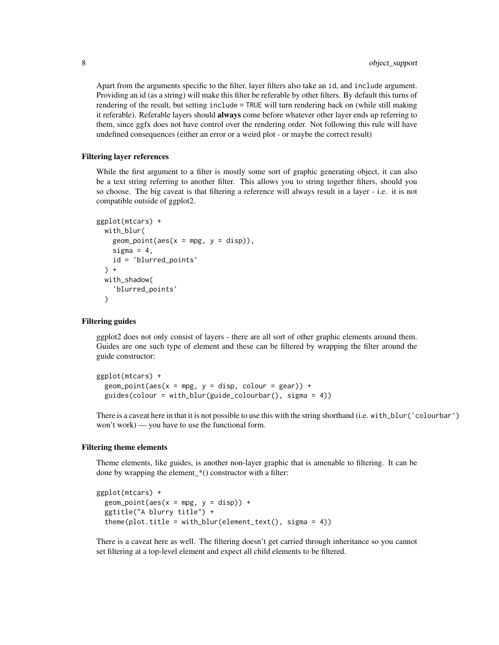Apart from the arguments specific to the filter, layer filters also take an id, and include argument. Providing an id (as a string) will make this filter be referable by other filters. By default this turns of rendering of the result, but setting include = TRUE will turn rendering back on (while still making it referable). Referable layers should **always** come before whatever other layer ends up referring to them, since ggfx does not have control over the rendering order. Not following this rule will have undefined consequences (either an error or a weird plot - or maybe the correct result)

### Filtering layer references

While the first argument to a filter is mostly some sort of graphic generating object, it can also be a text string referring to another filter. This allows you to string together filters, should you so choose. The big caveat is that filtering a reference will always result in a layer - i.e. it is not compatible outside of ggplot2.

```
ggplot(mtcars) +
 with_blur(
    geom\_point(aes(x = mpg, y = disp)),sigma = 4,
    id = 'blurred_points'
  ) +with_shadow(
    'blurred_points'
  \lambda
```
#### Filtering guides

ggplot2 does not only consist of layers - there are all sort of other graphic elements around them. Guides are one such type of element and these can be filtered by wrapping the filter around the guide constructor:

```
ggplot(mtcars) +
 geom\_point(aes(x = mpg, y = disp, colour = gear)) +guides(colour = with_blur(guide_colourbar(), sigma = 4))
```
There is a caveat here in that it is not possible to use this with the string shorthand (i.e. with\_blur('colourbar') won't work) — you have to use the functional form.

#### Filtering theme elements

Theme elements, like guides, is another non-layer graphic that is amenable to filtering. It can be done by wrapping the element\_\*() constructor with a filter:

```
ggplot(mtcars) +
 geom\_point(aes(x = mpg, y = disp)) +
  ggtitle("A blurry title") +
  theme(plot.title = with_blur(element_test(), sigma = 4))
```
There is a caveat here as well. The filtering doesn't get carried through inheritance so you cannot set filtering at a top-level element and expect all child elements to be filtered.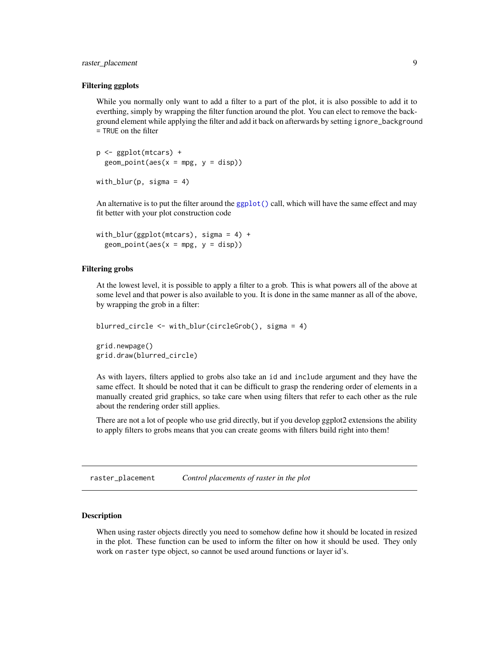# <span id="page-8-0"></span>raster\_placement 9

#### Filtering ggplots

While you normally only want to add a filter to a part of the plot, it is also possible to add it to everthing, simply by wrapping the filter function around the plot. You can elect to remove the background element while applying the filter and add it back on afterwards by setting ignore\_background = TRUE on the filter

p <- ggplot(mtcars) +  $geom\_point(aes(x = mp, y = disp))$ with\_blur(p, sigma = 4)

An alternative is to put the filter around the [ggplot\(\)](#page-0-0) call, which will have the same effect and may fit better with your plot construction code

```
with_blur(ggplot(mtcars), sigma = 4) +
  geom\_point(aes(x = mpg, y = disp))
```
#### Filtering grobs

At the lowest level, it is possible to apply a filter to a grob. This is what powers all of the above at some level and that power is also available to you. It is done in the same manner as all of the above, by wrapping the grob in a filter:

```
blurred_circle <- with_blur(circleGrob(), sigma = 4)
grid.newpage()
grid.draw(blurred_circle)
```
As with layers, filters applied to grobs also take an id and include argument and they have the same effect. It should be noted that it can be difficult to grasp the rendering order of elements in a manually created grid graphics, so take care when using filters that refer to each other as the rule about the rendering order still applies.

There are not a lot of people who use grid directly, but if you develop ggplot2 extensions the ability to apply filters to grobs means that you can create geoms with filters build right into them!

raster\_placement *Control placements of raster in the plot*

#### Description

When using raster objects directly you need to somehow define how it should be located in resized in the plot. These function can be used to inform the filter on how it should be used. They only work on raster type object, so cannot be used around functions or layer id's.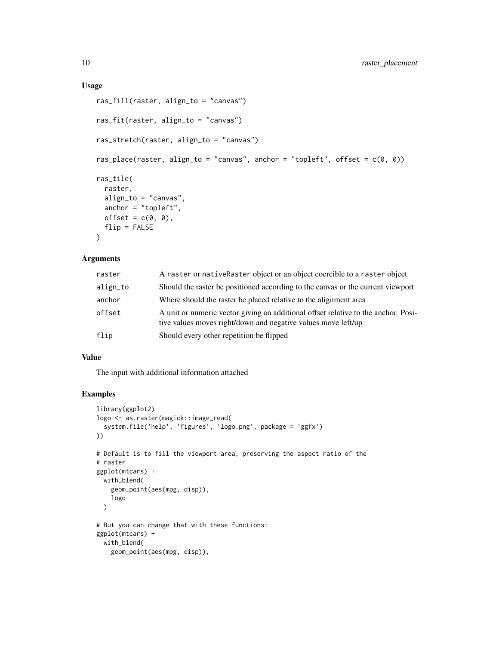# Usage

```
ras_fill(raster, align_to = "canvas")
ras_fit(raster, align_to = "canvas")
ras_stretch(raster, align_to = "canvas")
ras_place(raster, align_to = "canvas", anchor = "topleft", offset = c(\emptyset, \emptyset))
ras_tile(
  raster,
 align_to = "canvas",
 anchor = "topleft",
 offset = c(0, 0),flip = FALSE\mathcal{L}
```
# Arguments

| raster   | A raster or native Raster object or an object coercible to a raster object                                                                          |
|----------|-----------------------------------------------------------------------------------------------------------------------------------------------------|
| align_to | Should the raster be positioned according to the canvas or the current viewport                                                                     |
| anchor   | Where should the raster be placed relative to the alignment area                                                                                    |
| offset   | A unit or numeric vector giving an additional offset relative to the anchor. Posi-<br>tive values moves right/down and negative values move left/up |
| flip     | Should every other repetition be flipped                                                                                                            |

## Value

The input with additional information attached

# Examples

```
library(ggplot2)
logo <- as.raster(magick::image_read(
  system.file('help', 'figures', 'logo.png', package = 'ggfx')
))
# Default is to fill the viewport area, preserving the aspect ratio of the
# raster
ggplot(mtcars) +
  with_blend(
    geom_point(aes(mpg, disp)),
    logo
  )
# But you can change that with these functions:
ggplot(mtcars) +
  with_blend(
   geom_point(aes(mpg, disp)),
```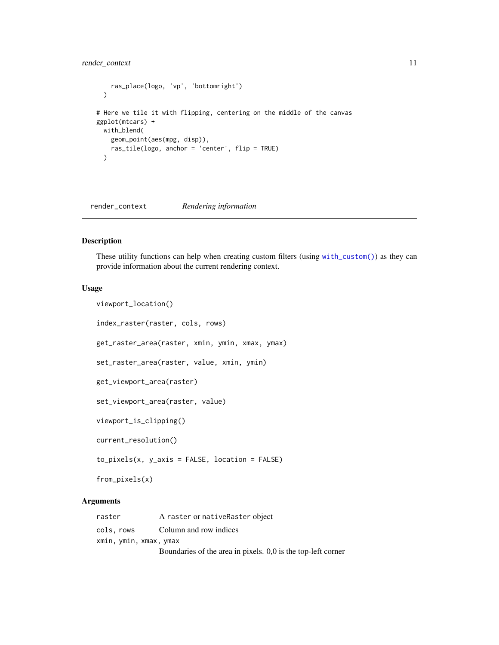# <span id="page-10-0"></span>render\_context 11

```
ras_place(logo, 'vp', 'bottomright')
 \lambda# Here we tile it with flipping, centering on the middle of the canvas
ggplot(mtcars) +
 with_blend(
   geom_point(aes(mpg, disp)),
   ras_tile(logo, anchor = 'center', flip = TRUE)
 \lambda
```
render\_context *Rendering information*

# <span id="page-10-1"></span>Description

These utility functions can help when creating custom filters (using [with\\_custom\(\)](#page-20-1)) as they can provide information about the current rendering context.

#### Usage

```
viewport_location()
index_raster(raster, cols, rows)
get_raster_area(raster, xmin, ymin, xmax, ymax)
set_raster_area(raster, value, xmin, ymin)
get_viewport_area(raster)
set_viewport_area(raster, value)
viewport_is_clipping()
current_resolution()
to_pixels(x, y_axis = FALSE, location = FALSE)
```
from\_pixels(x)

# Arguments

| raster                 | A raster or native Raster object                             |
|------------------------|--------------------------------------------------------------|
| cols, rows             | Column and row indices                                       |
| xmin, ymin, xmax, ymax |                                                              |
|                        | Boundaries of the area in pixels. 0,0 is the top-left corner |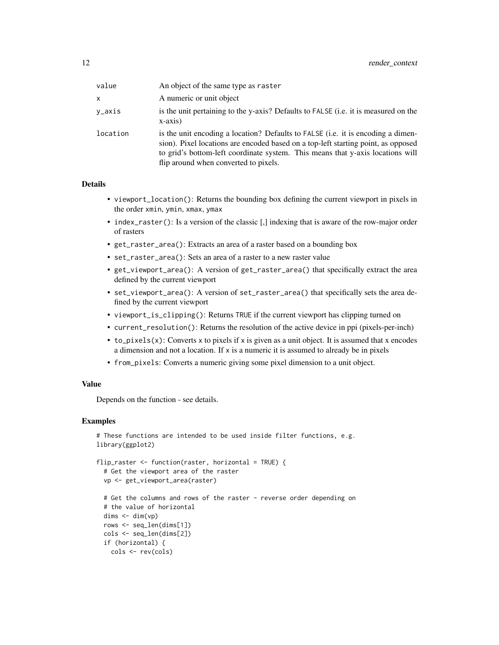| value    | An object of the same type as raster                                                                                                                                                                                                                                                             |
|----------|--------------------------------------------------------------------------------------------------------------------------------------------------------------------------------------------------------------------------------------------------------------------------------------------------|
| x        | A numeric or unit object                                                                                                                                                                                                                                                                         |
| v_axis   | is the unit pertaining to the y-axis? Defaults to FALSE (i.e. it is measured on the<br>$x-axis)$                                                                                                                                                                                                 |
| location | is the unit encoding a location? Defaults to FALSE (i.e. it is encoding a dimen-<br>sion). Pixel locations are encoded based on a top-left starting point, as opposed<br>to grid's bottom-left coordinate system. This means that y-axis locations will<br>flip around when converted to pixels. |

# Details

- viewport\_location(): Returns the bounding box defining the current viewport in pixels in the order xmin, ymin, xmax, ymax
- index\_raster(): Is a version of the classic [,] indexing that is aware of the row-major order of rasters
- get\_raster\_area(): Extracts an area of a raster based on a bounding box
- set\_raster\_area(): Sets an area of a raster to a new raster value
- get\_viewport\_area(): A version of get\_raster\_area() that specifically extract the area defined by the current viewport
- set\_viewport\_area(): A version of set\_raster\_area() that specifically sets the area defined by the current viewport
- viewport\_is\_clipping(): Returns TRUE if the current viewport has clipping turned on
- current\_resolution(): Returns the resolution of the active device in ppi (pixels-per-inch)
- to\_pixels(x): Converts x to pixels if x is given as a unit object. It is assumed that x encodes a dimension and not a location. If x is a numeric it is assumed to already be in pixels
- from\_pixels: Converts a numeric giving some pixel dimension to a unit object.

#### Value

Depends on the function - see details.

cols <- rev(cols)

# Examples

```
# These functions are intended to be used inside filter functions, e.g.
library(ggplot2)
flip_raster <- function(raster, horizontal = TRUE) {
 # Get the viewport area of the raster
 vp <- get_viewport_area(raster)
 # Get the columns and rows of the raster - reverse order depending on
 # the value of horizontal
 dims \leftarrow dim(vp)
 rows <- seq_len(dims[1])
 cols <- seq_len(dims[2])
 if (horizontal) {
```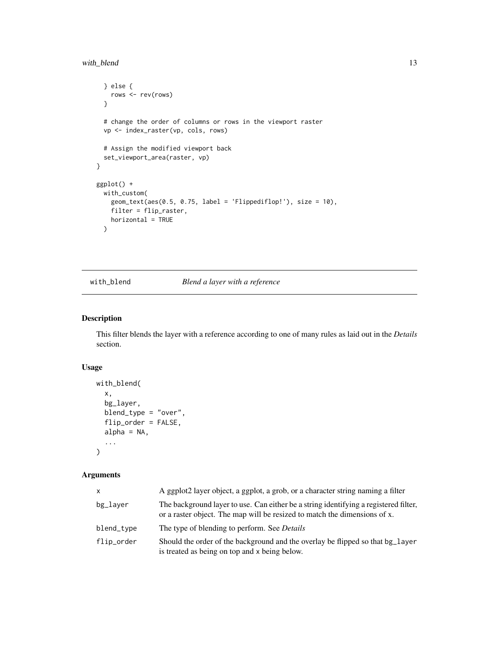```
} else {
   rows <- rev(rows)
 }
 # change the order of columns or rows in the viewport raster
 vp <- index_raster(vp, cols, rows)
 # Assign the modified viewport back
 set_viewport_area(raster, vp)
}
ggplot() +
 with_custom(
   geom_text(aes(0.5, 0.75, label = 'Flippediflop!'), size = 10),
   filter = flip_raster,
   horizontal = TRUE
 )
```
<span id="page-12-1"></span>with\_blend *Blend a layer with a reference*

# Description

This filter blends the layer with a reference according to one of many rules as laid out in the *Details* section.

# Usage

```
with_blend(
  x,
 bg_layer,
 blend_type = "over",
  flip_order = FALSE,
  alpha = NA,
  ...
)
```
# Arguments

| <b>X</b>   | A ggplot2 layer object, a ggplot, a grob, or a character string naming a filter                                                                                   |
|------------|-------------------------------------------------------------------------------------------------------------------------------------------------------------------|
| bg_layer   | The background layer to use. Can either be a string identifying a registered filter,<br>or a raster object. The map will be resized to match the dimensions of x. |
| blend_type | The type of blending to perform. See <i>Details</i>                                                                                                               |
| flip_order | Should the order of the background and the overlay be flipped so that bg_layer<br>is treated as being on top and x being below.                                   |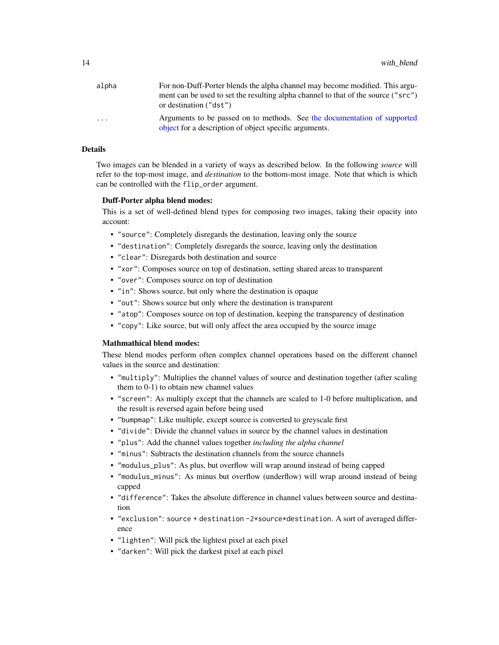<span id="page-13-0"></span>

| alpha   | For non-Duff-Porter blends the alpha channel may become modified. This argu-                                                       |
|---------|------------------------------------------------------------------------------------------------------------------------------------|
|         | ment can be used to set the resulting alpha channel to that of the source ("src")<br>or destination ("dst")                        |
| $\cdot$ | Arguments to be passed on to methods. See the documentation of supported<br>object for a description of object specific arguments. |

#### Details

Two images can be blended in a variety of ways as described below. In the following *source* will refer to the top-most image, and *destination* to the bottom-most image. Note that which is which can be controlled with the flip\_order argument.

## Duff-Porter alpha blend modes:

This is a set of well-defined blend types for composing two images, taking their opacity into account:

- "source": Completely disregards the destination, leaving only the source
- "destination": Completely disregards the source, leaving only the destination
- "clear": Disregards both destination and source
- "xor": Composes source on top of destination, setting shared areas to transparent
- "over": Composes source on top of destination
- "in": Shows source, but only where the destination is opaque
- "out": Shows source but only where the destination is transparent
- "atop": Composes source on top of destination, keeping the transparency of destination
- "copy": Like source, but will only affect the area occupied by the source image

# Mathmathical blend modes:

These blend modes perform often complex channel operations based on the different channel values in the source and destination:

- "multiply": Multiplies the channel values of source and destination together (after scaling them to 0-1) to obtain new channel values
- "screen": As multiply except that the channels are scaled to 1-0 before multiplication, and the result is reversed again before being used
- "bumpmap": Like multiple, except source is converted to greyscale first
- "divide": Divide the channel values in source by the channel values in destination
- "plus": Add the channel values together *including the alpha channel*
- "minus": Subtracts the destination channels from the source channels
- "modulus\_plus": As plus, but overflow will wrap around instead of being capped
- "modulus\_minus": As minus but overflow (underflow) will wrap around instead of being capped
- "difference": Takes the absolute difference in channel values between source and destination
- "exclusion": source + destination -2\*source\*destination. A sort of averaged difference
- "lighten": Will pick the lightest pixel at each pixel
- "darken": Will pick the darkest pixel at each pixel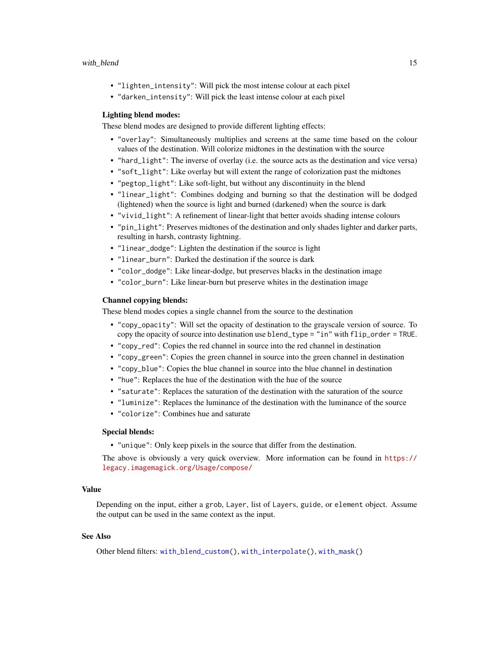- <span id="page-14-0"></span>• "lighten\_intensity": Will pick the most intense colour at each pixel
- "darken\_intensity": Will pick the least intense colour at each pixel

#### Lighting blend modes:

These blend modes are designed to provide different lighting effects:

- "overlay": Simultaneously multiplies and screens at the same time based on the colour values of the destination. Will colorize midtones in the destination with the source
- "hard\_light": The inverse of overlay (i.e. the source acts as the destination and vice versa)
- "soft\_light": Like overlay but will extent the range of colorization past the midtones
- "pegtop\_light": Like soft-light, but without any discontinuity in the blend
- "linear\_light": Combines dodging and burning so that the destination will be dodged (lightened) when the source is light and burned (darkened) when the source is dark
- "vivid\_light": A refinement of linear-light that better avoids shading intense colours
- "pin\_light": Preserves midtones of the destination and only shades lighter and darker parts, resulting in harsh, contrasty lightning.
- "linear\_dodge": Lighten the destination if the source is light
- "linear\_burn": Darked the destination if the source is dark
- "color\_dodge": Like linear-dodge, but preserves blacks in the destination image
- "color\_burn": Like linear-burn but preserve whites in the destination image

# Channel copying blends:

These blend modes copies a single channel from the source to the destination

- "copy\_opacity": Will set the opacity of destination to the grayscale version of source. To copy the opacity of source into destination use blend\_type = "in" with flip\_order = TRUE.
- "copy\_red": Copies the red channel in source into the red channel in destination
- "copy\_green": Copies the green channel in source into the green channel in destination
- "copy\_blue": Copies the blue channel in source into the blue channel in destination
- "hue": Replaces the hue of the destination with the hue of the source
- "saturate": Replaces the saturation of the destination with the saturation of the source
- "luminize": Replaces the luminance of the destination with the luminance of the source
- "colorize": Combines hue and saturate

# Special blends:

• "unique": Only keep pixels in the source that differ from the destination.

The above is obviously a very quick overview. More information can be found in [https://](https://legacy.imagemagick.org/Usage/compose/) [legacy.imagemagick.org/Usage/compose/](https://legacy.imagemagick.org/Usage/compose/)

#### Value

Depending on the input, either a grob, Layer, list of Layers, guide, or element object. Assume the output can be used in the same context as the input.

# See Also

Other blend filters: [with\\_blend\\_custom\(](#page-15-1)), [with\\_interpolate\(](#page-24-1)), [with\\_mask\(](#page-26-1))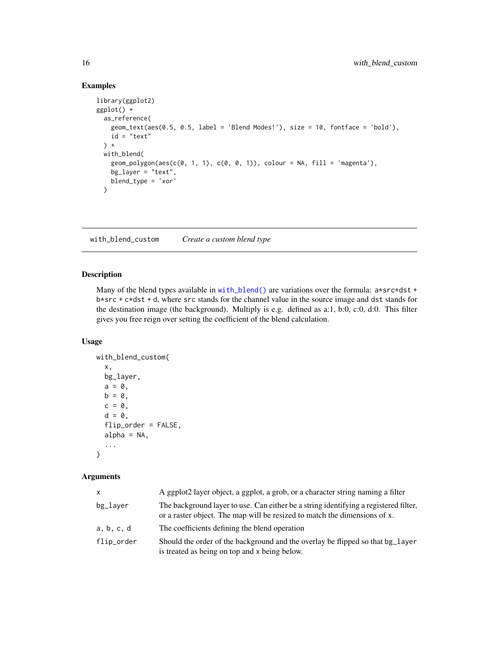# Examples

```
library(ggplot2)
ggplot() +
  as_reference(
   geom_text(aes(0.5, 0.5, label = 'Blend Modes!'), size = 10, fontface = 'bold'),
   id = "text") +with_blend(
    geom_polygon(aes(c(0, 1, 1), c(0, 0, 1)), colour = NA, fill = 'magenta'),
   bg_layer = "text",
   blend_type = 'xor'
  )
```
<span id="page-15-1"></span>with\_blend\_custom *Create a custom blend type*

#### Description

Many of the blend types available in [with\\_blend\(\)](#page-12-1) are variations over the formula:  $a*src*dst +$ b\*src + c\*dst + d, where src stands for the channel value in the source image and dst stands for the destination image (the background). Multiply is e.g. defined as a:1, b:0, c:0, d:0. This filter gives you free reign over setting the coefficient of the blend calculation.

#### Usage

```
with_blend_custom(
  x,
  bg_layer,
  a = 0,b = 0.
  c = 0,
  d = 0,
  flip_order = FALSE,
  alpha = NA,
  ...
\mathcal{L}
```
#### Arguments

| <b>X</b>   | A ggplot2 layer object, a ggplot, a grob, or a character string naming a filter                                                                                   |
|------------|-------------------------------------------------------------------------------------------------------------------------------------------------------------------|
| bg_laver   | The background layer to use. Can either be a string identifying a registered filter,<br>or a raster object. The map will be resized to match the dimensions of x. |
| a, b, c, d | The coefficients defining the blend operation                                                                                                                     |
| flip_order | Should the order of the background and the overlay be flipped so that bg_layer<br>is treated as being on top and x being below.                                   |

<span id="page-15-0"></span>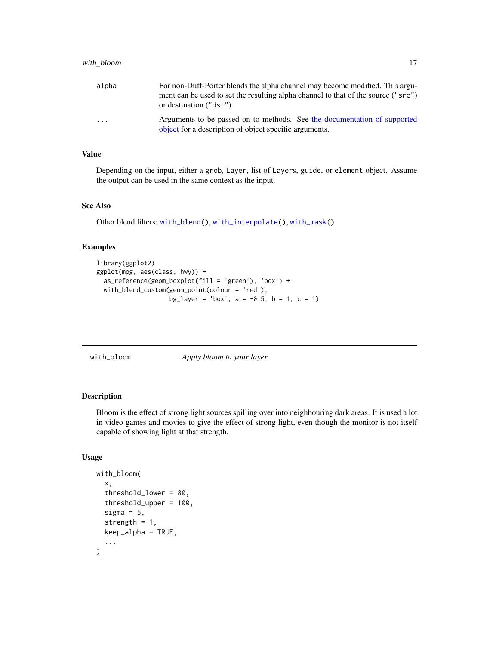<span id="page-16-0"></span>

| alpha | For non-Duff-Porter blends the alpha channel may become modified. This argu-                                                       |
|-------|------------------------------------------------------------------------------------------------------------------------------------|
|       | ment can be used to set the resulting alpha channel to that of the source ("src")                                                  |
|       | or destination ("dst")                                                                                                             |
| .     | Arguments to be passed on to methods. See the documentation of supported<br>object for a description of object specific arguments. |

### Value

Depending on the input, either a grob, Layer, list of Layers, guide, or element object. Assume the output can be used in the same context as the input.

# See Also

Other blend filters: [with\\_blend\(](#page-12-1)), [with\\_interpolate\(](#page-24-1)), [with\\_mask\(](#page-26-1))

# Examples

```
library(ggplot2)
ggplot(mpg, aes(class, hwy)) +
  as_reference(geom_boxplot(fill = 'green'), 'box') +
  with_blend_custom(geom_point(colour = 'red'),
                    bg_layer = 'box', a = -0.5, b = 1, c = 1)
```

|  |  | with_bloom |
|--|--|------------|
|  |  |            |

Apply bloom to your layer

# Description

Bloom is the effect of strong light sources spilling over into neighbouring dark areas. It is used a lot in video games and movies to give the effect of strong light, even though the monitor is not itself capable of showing light at that strength.

### Usage

```
with_bloom(
  x,
  threshold_lower = 80,
  threshold_upper = 100,
  sigma = 5,
  strength = 1,
  keep_alpha = TRUE,
  ...
\mathcal{E}
```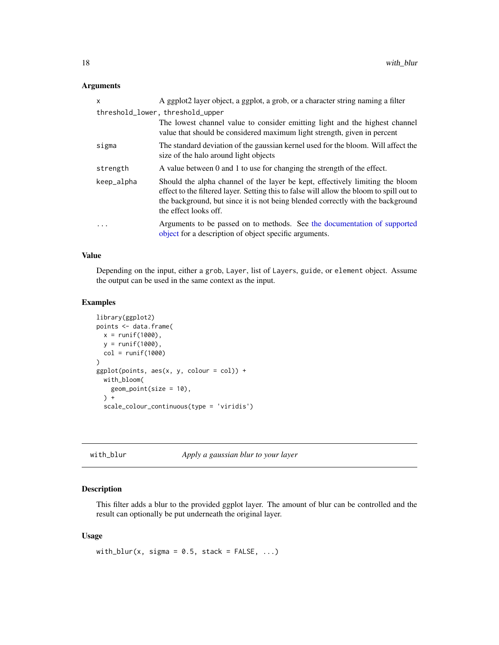# <span id="page-17-0"></span>Arguments

| x          | A ggplot2 layer object, a ggplot, a grob, or a character string naming a filter                                                                                                                                                                                                       |
|------------|---------------------------------------------------------------------------------------------------------------------------------------------------------------------------------------------------------------------------------------------------------------------------------------|
|            | threshold_lower, threshold_upper                                                                                                                                                                                                                                                      |
|            | The lowest channel value to consider emitting light and the highest channel<br>value that should be considered maximum light strength, given in percent                                                                                                                               |
| sigma      | The standard deviation of the gaussian kernel used for the bloom. Will affect the<br>size of the halo around light objects                                                                                                                                                            |
| strength   | A value between 0 and 1 to use for changing the strength of the effect.                                                                                                                                                                                                               |
| keep_alpha | Should the alpha channel of the layer be kept, effectively limiting the bloom<br>effect to the filtered layer. Setting this to false will allow the bloom to spill out to<br>the background, but since it is not being blended correctly with the background<br>the effect looks off. |
| .          | Arguments to be passed on to methods. See the documentation of supported<br>object for a description of object specific arguments.                                                                                                                                                    |

# Value

Depending on the input, either a grob, Layer, list of Layers, guide, or element object. Assume the output can be used in the same context as the input.

#### Examples

```
library(ggplot2)
points <- data.frame(
  x = runif(1000),
 y = runif(1000),
 col = runif(1000)
)
ggplot(points, aes(x, y, colour = col)) +with_bloom(
   geom_point(size = 10),
  ) +
  scale_colour_continuous(type = 'viridis')
```
<span id="page-17-1"></span>with\_blur *Apply a gaussian blur to your layer*

# Description

This filter adds a blur to the provided ggplot layer. The amount of blur can be controlled and the result can optionally be put underneath the original layer.

#### Usage

with\_blur(x, sigma =  $0.5$ , stack = FALSE, ...)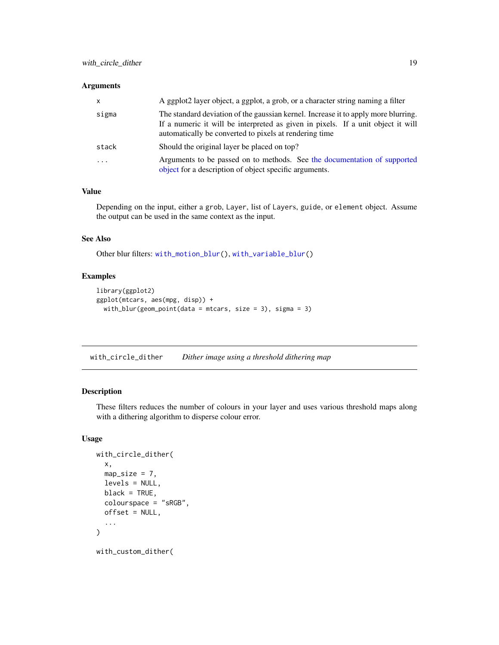#### <span id="page-18-0"></span>Arguments

| $\mathsf{x}$ | A ggplot2 layer object, a ggplot, a grob, or a character string naming a filter                                                                                                                                                  |
|--------------|----------------------------------------------------------------------------------------------------------------------------------------------------------------------------------------------------------------------------------|
| sigma        | The standard deviation of the gaussian kernel. Increase it to apply more blurring.<br>If a numeric it will be interpreted as given in pixels. If a unit object it will<br>automatically be converted to pixels at rendering time |
| stack        | Should the original layer be placed on top?                                                                                                                                                                                      |
| $\cdot$      | Arguments to be passed on to methods. See the documentation of supported<br>object for a description of object specific arguments.                                                                                               |

# Value

Depending on the input, either a grob, Layer, list of Layers, guide, or element object. Assume the output can be used in the same context as the input.

# See Also

Other blur filters: [with\\_motion\\_blur\(](#page-27-1)), [with\\_variable\\_blur\(](#page-33-1))

# Examples

```
library(ggplot2)
ggplot(mtcars, aes(mpg, disp)) +
  with_blur(geom_point(data = mtcars, size = 3), sigma = 3)
```
<span id="page-18-1"></span>with\_circle\_dither *Dither image using a threshold dithering map*

# Description

These filters reduces the number of colours in your layer and uses various threshold maps along with a dithering algorithm to disperse colour error.

# Usage

```
with_circle_dither(
  x,
 map\_size = 7,
  levels = NULL,
 black = TRUE,
  colourspace = "sRGB",
 offset = NULL,
  ...
)
with_custom_dither(
```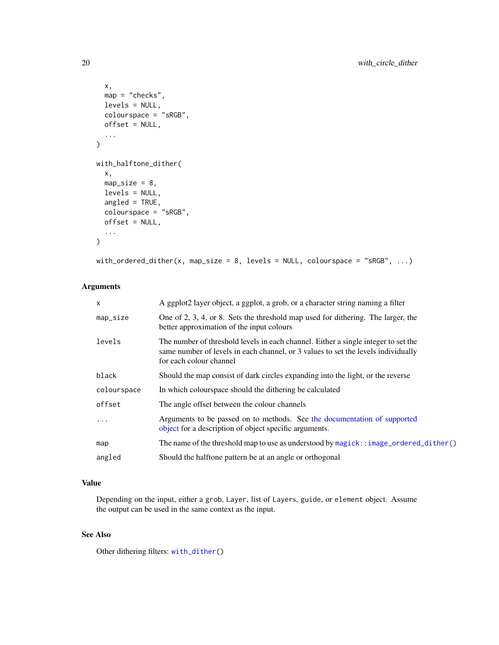```
x,
 map = "checks",
 levels = NULL,
 colourspace = "sRGB",
 offset = NULL,...
\mathcal{L}with_halftone_dither(
  x,
 map\_size = 8,
 levels = NULL,
 angled = TRUE,
 colourspace = "sRGB",
 offset = NULL,
  ...
)
```
with\_ordered\_dither(x, map\_size = 8, levels = NULL, colourspace = "sRGB", ...)

# Arguments

| X           | A ggplot2 layer object, a ggplot, a grob, or a character string naming a filter                                                                                                                    |
|-------------|----------------------------------------------------------------------------------------------------------------------------------------------------------------------------------------------------|
| map_size    | One of 2, 3, 4, or 8. Sets the threshold map used for dithering. The larger, the<br>better approximation of the input colours                                                                      |
| levels      | The number of threshold levels in each channel. Either a single integer to set the<br>same number of levels in each channel, or 3 values to set the levels individually<br>for each colour channel |
| black       | Should the map consist of dark circles expanding into the light, or the reverse                                                                                                                    |
| colourspace | In which colourspace should the dithering be calculated                                                                                                                                            |
| offset      | The angle offset between the colour channels                                                                                                                                                       |
| .           | Arguments to be passed on to methods. See the documentation of supported<br>object for a description of object specific arguments.                                                                 |
| map         | The name of the threshold map to use as understood by magick: : image_ordered_dither()                                                                                                             |
| angled      | Should the halftone pattern be at an angle or orthogonal                                                                                                                                           |

# Value

Depending on the input, either a grob, Layer, list of Layers, guide, or element object. Assume the output can be used in the same context as the input.

# See Also

Other dithering filters: [with\\_dither\(](#page-22-1))

<span id="page-19-0"></span>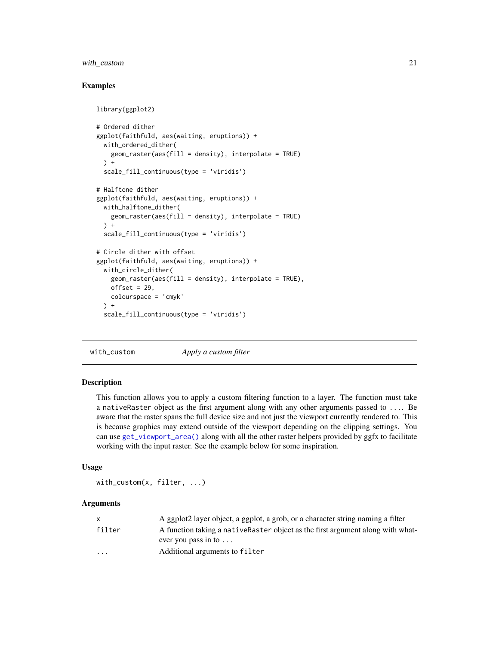# <span id="page-20-0"></span>with\_custom 21

# Examples

```
library(ggplot2)
# Ordered dither
ggplot(faithfuld, aes(waiting, eruptions)) +
 with_ordered_dither(
   geom_raster(aes(fill = density), interpolate = TRUE)
 ) +scale_fill_continuous(type = 'viridis')
# Halftone dither
ggplot(faithfuld, aes(waiting, eruptions)) +
 with_halftone_dither(
   geom_raster(aes(fill = density), interpolate = TRUE)
 ) +
 scale_fill_continuous(type = 'viridis')
# Circle dither with offset
ggplot(faithfuld, aes(waiting, eruptions)) +
 with_circle_dither(
   geom_raster(aes(fill = density), interpolate = TRUE),
   offset = 29,
   colourspace = 'cmyk'
 ) +scale_fill_continuous(type = 'viridis')
```
<span id="page-20-1"></span>with\_custom *Apply a custom filter*

#### **Description**

This function allows you to apply a custom filtering function to a layer. The function must take a nativeRaster object as the first argument along with any other arguments passed to .... Be aware that the raster spans the full device size and not just the viewport currently rendered to. This is because graphics may extend outside of the viewport depending on the clipping settings. You can use [get\\_viewport\\_area\(\)](#page-10-1) along with all the other raster helpers provided by ggfx to facilitate working with the input raster. See the example below for some inspiration.

### Usage

with\_custom(x, filter, ...)

#### Arguments

|                         | A ggplot2 layer object, a ggplot, a grob, or a character string naming a filter |
|-------------------------|---------------------------------------------------------------------------------|
| filter                  | A function taking a native Raster object as the first argument along with what- |
|                         | ever you pass in to $\dots$                                                     |
| $\cdot$ $\cdot$ $\cdot$ | Additional arguments to filter                                                  |
|                         |                                                                                 |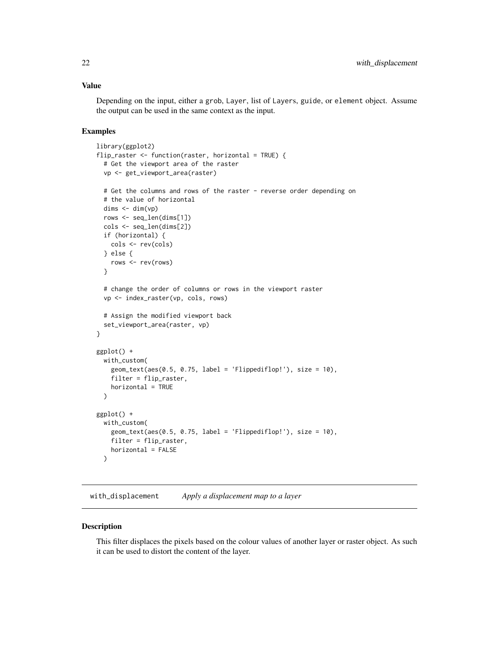# <span id="page-21-0"></span>Value

Depending on the input, either a grob, Layer, list of Layers, guide, or element object. Assume the output can be used in the same context as the input.

#### Examples

```
library(ggplot2)
flip_raster <- function(raster, horizontal = TRUE) {
  # Get the viewport area of the raster
  vp <- get_viewport_area(raster)
  # Get the columns and rows of the raster - reverse order depending on
  # the value of horizontal
  \text{dim } s \leftarrow \text{dim}(vp)rows <- seq_len(dims[1])
  cols <- seq_len(dims[2])
  if (horizontal) {
    cols <- rev(cols)
  } else {
    rows <- rev(rows)
  }
  # change the order of columns or rows in the viewport raster
  vp <- index_raster(vp, cols, rows)
  # Assign the modified viewport back
  set_viewport_area(raster, vp)
}
ggplot() +
  with_custom(
    geom\_text(aes(0.5, 0.75, label = 'Flippediflop!'), size = 10),filter = flip_raster,
    horizontal = TRUE
  \lambdaggplot() +
  with_custom(
    geom_text(aes(0.5, 0.75, label = 'Flippediflop!'), size = 10),
    filter = flip_raster,
    horizontal = FALSE
  )
```
<span id="page-21-1"></span>with\_displacement *Apply a displacement map to a layer*

# Description

This filter displaces the pixels based on the colour values of another layer or raster object. As such it can be used to distort the content of the layer.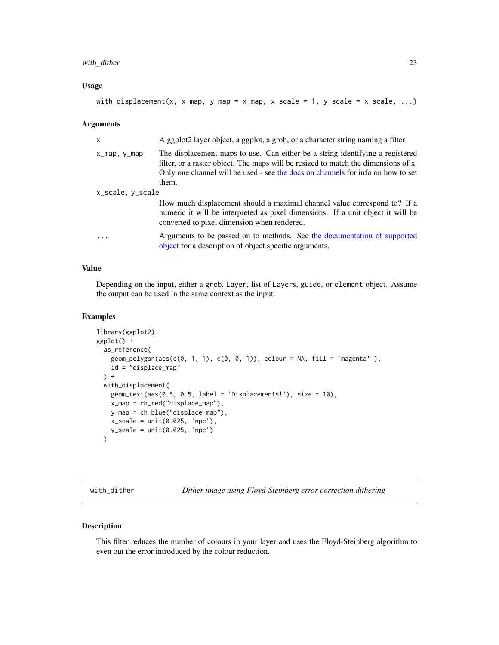# <span id="page-22-0"></span>with\_dither 23

#### Usage

```
with_displacement(x, x_map, y_map = x_map, x_scale = 1, y_scale = x_scale, ...)
```
#### Arguments

| $\mathsf{x}$     | A ggplot2 layer object, a ggplot, a grob, or a character string naming a filter                                                                                                                                                                                 |
|------------------|-----------------------------------------------------------------------------------------------------------------------------------------------------------------------------------------------------------------------------------------------------------------|
| x_map, y_map     | The displacement maps to use. Can either be a string identifying a registered<br>filter, or a raster object. The maps will be resized to match the dimensions of x.<br>Only one channel will be used - see the docs on channels for info on how to set<br>them. |
| x_scale, y_scale |                                                                                                                                                                                                                                                                 |
|                  | How much displacement should a maximal channel value correspond to? If a<br>numeric it will be interpreted as pixel dimensions. If a unit object it will be<br>converted to pixel dimension when rendered.                                                      |
| $\ddotsc$        | Arguments to be passed on to methods. See the documentation of supported<br>object for a description of object specific arguments.                                                                                                                              |

# Value

Depending on the input, either a grob, Layer, list of Layers, guide, or element object. Assume the output can be used in the same context as the input.

#### Examples

```
library(ggplot2)
ggplot() +
 as_reference(
   geom\_polygon(aes(c(0, 1, 1), c(0, 0, 1)), colour = NA, fill = 'magenta '),id = "displace_map"
 ) +with_displacement(
   geom_text(aes(0.5, 0.5, label = 'Displacements!'), size = 10),
   x_map = ch_red("displace_map"),
   y_map = ch_blue("displace_map"),
   x_scale = unit(0.025, 'npc'),
   y_scale = unit(0.025, 'npc')
 )
```
<span id="page-22-1"></span>with\_dither *Dither image using Floyd-Steinberg error correction dithering*

#### Description

This filter reduces the number of colours in your layer and uses the Floyd-Steinberg algorithm to even out the error introduced by the colour reduction.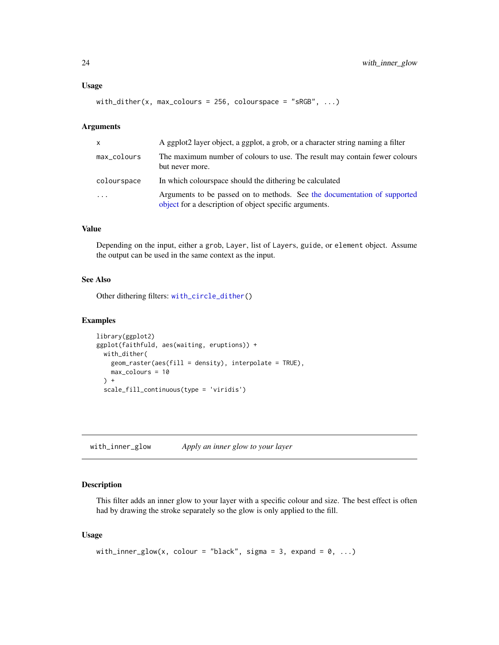#### <span id="page-23-0"></span>Usage

```
with_dither(x, max_colours = 256, colourspace = "sRGB", \ldots)
```
#### Arguments

| $\mathsf{x}$ | A ggplot2 layer object, a ggplot, a grob, or a character string naming a filter                                                    |
|--------------|------------------------------------------------------------------------------------------------------------------------------------|
| max_colours  | The maximum number of colours to use. The result may contain fewer colours<br>but never more.                                      |
| colourspace  | In which colourspace should the dithering be calculated                                                                            |
| $\cdots$     | Arguments to be passed on to methods. See the documentation of supported<br>object for a description of object specific arguments. |

# Value

Depending on the input, either a grob, Layer, list of Layers, guide, or element object. Assume the output can be used in the same context as the input.

#### See Also

Other dithering filters: [with\\_circle\\_dither\(](#page-18-1))

#### Examples

```
library(ggplot2)
ggplot(faithfuld, aes(waiting, eruptions)) +
  with_dither(
   geom_raster(aes(fill = density), interpolate = TRUE),
   max_colours = 10
  ) +scale_fill_continuous(type = 'viridis')
```
<span id="page-23-1"></span>with\_inner\_glow *Apply an inner glow to your layer*

# Description

This filter adds an inner glow to your layer with a specific colour and size. The best effect is often had by drawing the stroke separately so the glow is only applied to the fill.

#### Usage

```
with_inner_glow(x, colour = "black", sigma = 3, expand = 0, ...)
```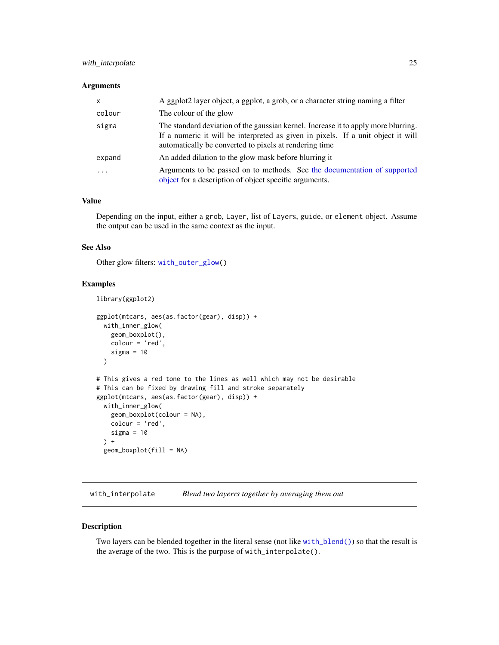# <span id="page-24-0"></span>with\_interpolate 25

#### **Arguments**

| $\mathsf{x}$            | A ggplot2 layer object, a ggplot, a grob, or a character string naming a filter                                                                                                                                                  |
|-------------------------|----------------------------------------------------------------------------------------------------------------------------------------------------------------------------------------------------------------------------------|
| colour                  | The colour of the glow                                                                                                                                                                                                           |
| sigma                   | The standard deviation of the gaussian kernel. Increase it to apply more blurring.<br>If a numeric it will be interpreted as given in pixels. If a unit object it will<br>automatically be converted to pixels at rendering time |
| expand                  | An added dilation to the glow mask before blurring it                                                                                                                                                                            |
| $\cdot$ $\cdot$ $\cdot$ | Arguments to be passed on to methods. See the documentation of supported<br>object for a description of object specific arguments.                                                                                               |

# Value

Depending on the input, either a grob, Layer, list of Layers, guide, or element object. Assume the output can be used in the same context as the input.

# See Also

Other glow filters: [with\\_outer\\_glow\(](#page-28-1))

#### Examples

```
library(ggplot2)
ggplot(mtcars, aes(as.factor(gear), disp)) +
 with_inner_glow(
   geom_boxplot(),
   colour = 'red',
   sigma = 10)
# This gives a red tone to the lines as well which may not be desirable
# This can be fixed by drawing fill and stroke separately
ggplot(mtcars, aes(as.factor(gear), disp)) +
 with_inner_glow(
   geom_boxplot(colour = NA),
   colour = 'red',
   sigma = 10) +
 geom_boxplot(fill = NA)
```
<span id="page-24-1"></span>with\_interpolate *Blend two layerrs together by averaging them out*

#### Description

Two layers can be blended together in the literal sense (not like [with\\_blend\(\)](#page-12-1)) so that the result is the average of the two. This is the purpose of with\_interpolate().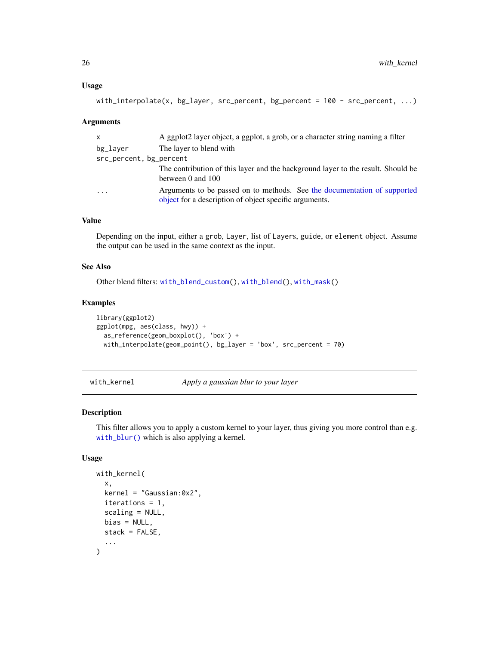#### <span id="page-25-0"></span>Usage

```
with_interpolate(x, bg_layer, src_percent, bg_percent = 100 - src_percent, ...)
```
#### Arguments

| $\mathsf{x}$            | A ggplot2 layer object, a ggplot, a grob, or a character string naming a filter                                                    |
|-------------------------|------------------------------------------------------------------------------------------------------------------------------------|
| bg_laver                | The layer to blend with                                                                                                            |
| src_percent, bg_percent |                                                                                                                                    |
|                         | The contribution of this layer and the background layer to the result. Should be                                                   |
|                         | between 0 and 100                                                                                                                  |
| $\cdot$ $\cdot$ $\cdot$ | Arguments to be passed on to methods. See the documentation of supported<br>object for a description of object specific arguments. |

# Value

Depending on the input, either a grob, Layer, list of Layers, guide, or element object. Assume the output can be used in the same context as the input.

# See Also

Other blend filters: [with\\_blend\\_custom\(](#page-15-1)), [with\\_blend\(](#page-12-1)), [with\\_mask\(](#page-26-1))

# Examples

```
library(ggplot2)
ggplot(mpg, aes(class, hwy)) +
  as_reference(geom_boxplot(), 'box') +
  with_interpolate(geom_point(), bg_layer = 'box', src_percent = 70)
```
with\_kernel *Apply a gaussian blur to your layer*

# Description

This filter allows you to apply a custom kernel to your layer, thus giving you more control than e.g. [with\\_blur\(\)](#page-17-1) which is also applying a kernel.

# Usage

```
with_kernel(
  x,
  kernel = "Gaussian:0x2",
  iterations = 1,
  scaling = NULL,
  bias = NULL,
  stack = FALSE,
  ...
\mathcal{L}
```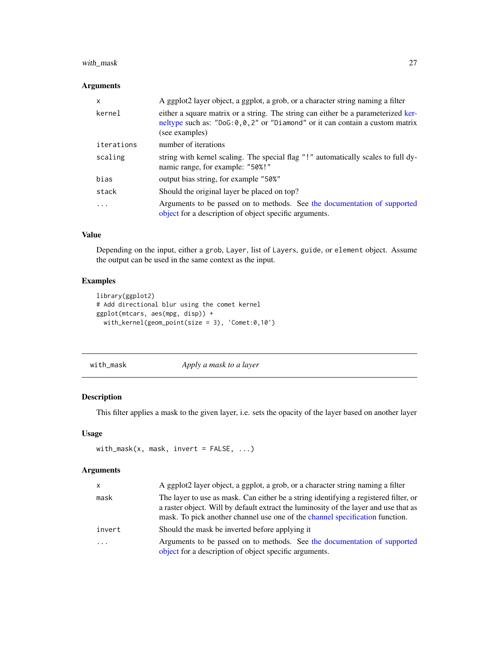# <span id="page-26-0"></span>with\_mask 27

# Arguments

| $\mathsf{x}$ | A ggplot2 layer object, a ggplot, a grob, or a character string naming a filter                                                                                                          |
|--------------|------------------------------------------------------------------------------------------------------------------------------------------------------------------------------------------|
| kernel       | either a square matrix or a string. The string can either be a parameterized ker-<br>neltype such as: "DoG: $0, 0, 2$ " or "Diamond" or it can contain a custom matrix<br>(see examples) |
| iterations   | number of iterations                                                                                                                                                                     |
| scaling      | string with kernel scaling. The special flag "!" automatically scales to full dy-<br>namic range, for example: "50%!"                                                                    |
| bias         | output bias string, for example "50%"                                                                                                                                                    |
| stack        | Should the original layer be placed on top?                                                                                                                                              |
| $\ddots$ .   | Arguments to be passed on to methods. See the documentation of supported<br>object for a description of object specific arguments.                                                       |

# Value

Depending on the input, either a grob, Layer, list of Layers, guide, or element object. Assume the output can be used in the same context as the input.

# Examples

```
library(ggplot2)
# Add directional blur using the comet kernel
ggplot(mtcars, aes(mpg, disp)) +
  with_kernel(geom_point(size = 3), 'Comet:0,10')
```
<span id="page-26-1"></span>with\_mask *Apply a mask to a layer*

# Description

This filter applies a mask to the given layer, i.e. sets the opacity of the layer based on another layer

# Usage

```
with_mask(x, mask, invert = FALSE, ...)
```
# Arguments

| <b>X</b> | A ggplot2 layer object, a ggplot, a grob, or a character string naming a filter                                                                                                                                                                              |
|----------|--------------------------------------------------------------------------------------------------------------------------------------------------------------------------------------------------------------------------------------------------------------|
| mask     | The layer to use as mask. Can either be a string identifying a registered filter, or<br>a raster object. Will by default extract the luminosity of the layer and use that as<br>mask. To pick another channel use one of the channel specification function. |
| invert   | Should the mask be inverted before applying it                                                                                                                                                                                                               |
| $\ddots$ | Arguments to be passed on to methods. See the documentation of supported<br>object for a description of object specific arguments.                                                                                                                           |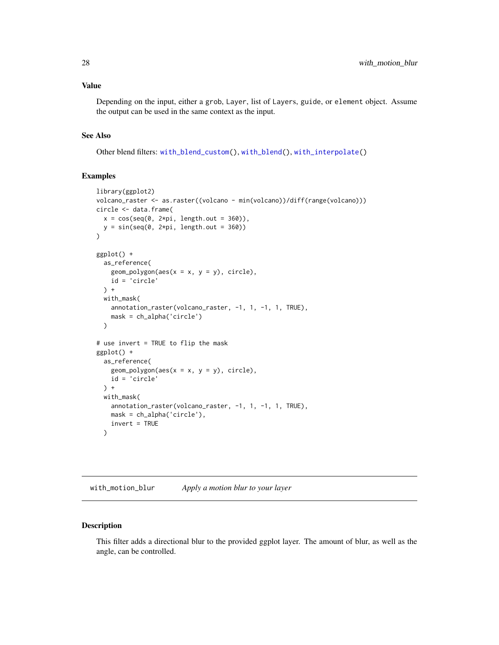# <span id="page-27-0"></span>Value

Depending on the input, either a grob, Layer, list of Layers, guide, or element object. Assume the output can be used in the same context as the input.

#### See Also

Other blend filters: [with\\_blend\\_custom\(](#page-15-1)), [with\\_blend\(](#page-12-1)), [with\\_interpolate\(](#page-24-1))

## Examples

```
library(ggplot2)
volcano_raster <- as.raster((volcano - min(volcano))/diff(range(volcano)))
circle <- data.frame(
  x = \cos(\sec(\theta, 2*pi, length.out = 360)),y = sin(seq(\theta, 2*pi, length.out = 360)))
ggplot() +
  as_reference(
    geom_polygon(aes(x = x, y = y), circle),
    id = 'circle'
  ) +
  with_mask(
    annotation_raster(volcano_raster, -1, 1, -1, 1, TRUE),
    mask = ch_alpha('circle')
  )
# use invert = TRUE to flip the mask
ggplot() +
  as_reference(
    geom_polygon(aes(x = x, y = y), circle),
    id = 'circle'
  ) +
  with_mask(
    annotation_raster(volcano_raster, -1, 1, -1, 1, TRUE),
    mask = ch_alpha('circle'),
    invert = TRUE
  \lambda
```
<span id="page-27-1"></span>with\_motion\_blur *Apply a motion blur to your layer*

#### Description

This filter adds a directional blur to the provided ggplot layer. The amount of blur, as well as the angle, can be controlled.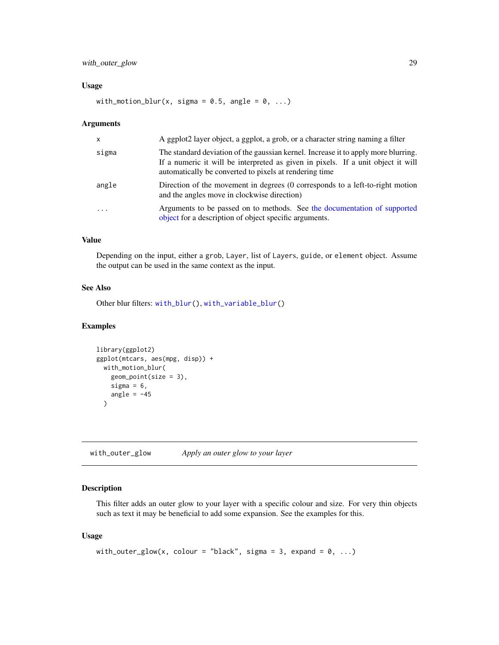# <span id="page-28-0"></span>with\_outer\_glow 29

#### Usage

with\_motion\_blur(x, sigma =  $0.5$ , angle =  $0$ , ...)

#### Arguments

| $\mathsf{x}$            | A ggplot2 layer object, a ggplot, a grob, or a character string naming a filter                                                                                                                                                  |
|-------------------------|----------------------------------------------------------------------------------------------------------------------------------------------------------------------------------------------------------------------------------|
| sigma                   | The standard deviation of the gaussian kernel. Increase it to apply more blurring.<br>If a numeric it will be interpreted as given in pixels. If a unit object it will<br>automatically be converted to pixels at rendering time |
| angle                   | Direction of the movement in degrees (0 corresponds to a left-to-right motion<br>and the angles move in clockwise direction)                                                                                                     |
| $\cdot$ $\cdot$ $\cdot$ | Arguments to be passed on to methods. See the documentation of supported<br>object for a description of object specific arguments.                                                                                               |

#### Value

Depending on the input, either a grob, Layer, list of Layers, guide, or element object. Assume the output can be used in the same context as the input.

#### See Also

Other blur filters: [with\\_blur\(](#page-17-1)), [with\\_variable\\_blur\(](#page-33-1))

### Examples

```
library(ggplot2)
ggplot(mtcars, aes(mpg, disp)) +
 with_motion_blur(
   geom_point(size = 3),
   sigma = 6,
   angle = -45\lambda
```
<span id="page-28-1"></span>with\_outer\_glow *Apply an outer glow to your layer*

# Description

This filter adds an outer glow to your layer with a specific colour and size. For very thin objects such as text it may be beneficial to add some expansion. See the examples for this.

# Usage

```
with_outer_glow(x, colour = "black", sigma = 3, expand = 0, ...)
```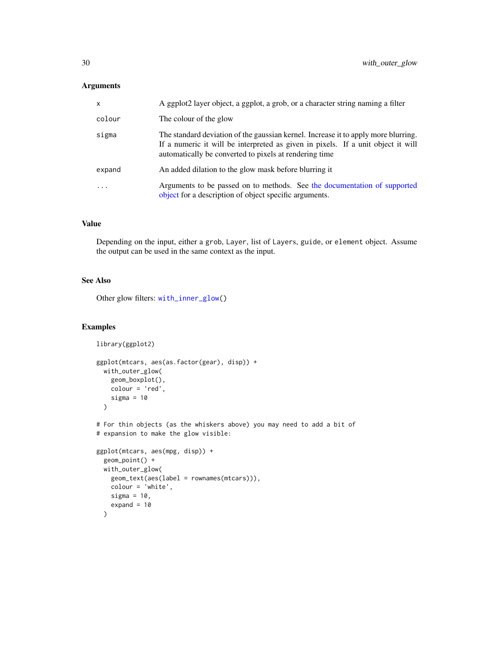# <span id="page-29-0"></span>Arguments

| X                       | A ggplot2 layer object, a ggplot, a grob, or a character string naming a filter                                                                                                                                                  |
|-------------------------|----------------------------------------------------------------------------------------------------------------------------------------------------------------------------------------------------------------------------------|
| colour                  | The colour of the glow                                                                                                                                                                                                           |
| sigma                   | The standard deviation of the gaussian kernel. Increase it to apply more blurring.<br>If a numeric it will be interpreted as given in pixels. If a unit object it will<br>automatically be converted to pixels at rendering time |
| expand                  | An added dilation to the glow mask before blurring it                                                                                                                                                                            |
| $\cdot$ $\cdot$ $\cdot$ | Arguments to be passed on to methods. See the documentation of supported<br>object for a description of object specific arguments.                                                                                               |

# Value

Depending on the input, either a grob, Layer, list of Layers, guide, or element object. Assume the output can be used in the same context as the input.

# See Also

Other glow filters: [with\\_inner\\_glow\(](#page-23-1))

# Examples

```
library(ggplot2)
ggplot(mtcars, aes(as.factor(gear), disp)) +
  with_outer_glow(
   geom_boxplot(),
   colour = 'red',
   sigma = 10\mathcal{L}# For thin objects (as the whiskers above) you may need to add a bit of
# expansion to make the glow visible:
ggplot(mtcars, aes(mpg, disp)) +
  geom_point() +
  with_outer_glow(
   geom_text(aes(label = rownames(mtcars))),
   colour = 'white',
   sigma = 10,
   expand = 10)
```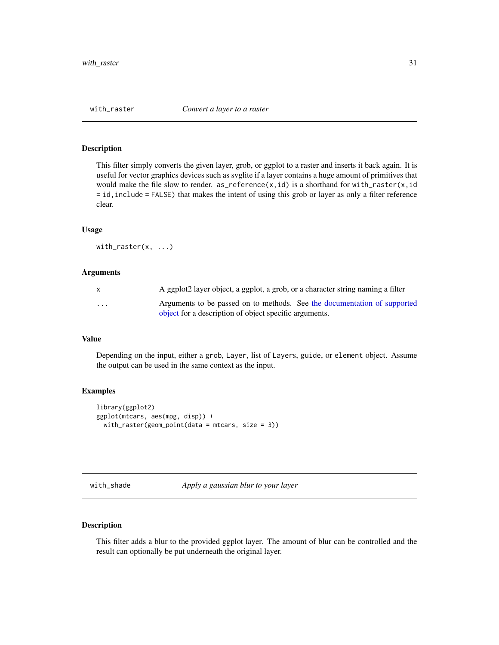<span id="page-30-0"></span>

# Description

This filter simply converts the given layer, grob, or ggplot to a raster and inserts it back again. It is useful for vector graphics devices such as svglite if a layer contains a huge amount of primitives that would make the file slow to render.  $as\_reference(x,id)$  is a shorthand for with\_raster(x,id = id,include = FALSE) that makes the intent of using this grob or layer as only a filter reference clear.

#### Usage

with\_raster(x, ...)

#### Arguments

| $\mathsf{x}$ | A ggplot2 layer object, a ggplot, a grob, or a character string naming a filter |
|--------------|---------------------------------------------------------------------------------|
| .            | Arguments to be passed on to methods. See the documentation of supported        |
|              | object for a description of object specific arguments.                          |

#### Value

Depending on the input, either a grob, Layer, list of Layers, guide, or element object. Assume the output can be used in the same context as the input.

#### Examples

```
library(ggplot2)
ggplot(mtcars, aes(mpg, disp)) +
 with_raster(geom_point(data = mtcars, size = 3))
```
with\_shade *Apply a gaussian blur to your layer*

# Description

This filter adds a blur to the provided ggplot layer. The amount of blur can be controlled and the result can optionally be put underneath the original layer.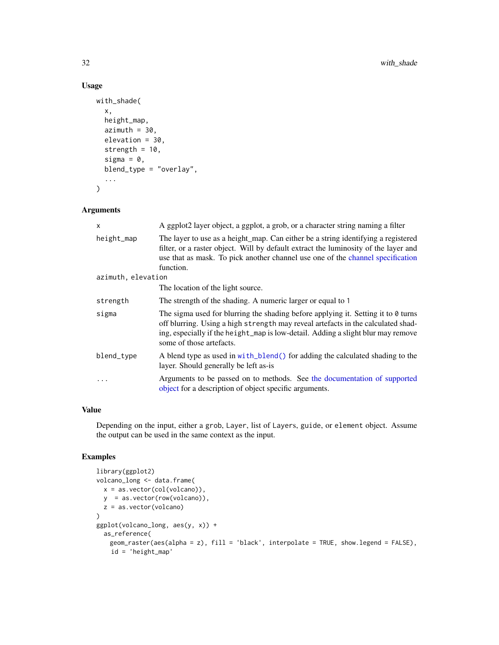# Usage

```
with_shade(
  x,
  height_map,
  azimuth = 30,elevation = 30,
  strength = 10,
  sigma = 0,
  blend_type = "overlay",
  ...
\mathcal{L}
```
# Arguments

| $\mathsf{x}$       | A ggplot2 layer object, a ggplot, a grob, or a character string naming a filter                                                                                                                                                                                                       |
|--------------------|---------------------------------------------------------------------------------------------------------------------------------------------------------------------------------------------------------------------------------------------------------------------------------------|
| height_map         | The layer to use as a height_map. Can either be a string identifying a registered<br>filter, or a raster object. Will by default extract the luminosity of the layer and<br>use that as mask. To pick another channel use one of the channel specification<br>function.               |
| azimuth, elevation |                                                                                                                                                                                                                                                                                       |
|                    | The location of the light source.                                                                                                                                                                                                                                                     |
| strength           | The strength of the shading. A numeric larger or equal to 1                                                                                                                                                                                                                           |
| sigma              | The sigma used for blurring the shading before applying it. Setting it to 0 turns<br>off blurring. Using a high strength may reveal artefacts in the calculated shad-<br>ing, especially if the height_map is low-detail. Adding a slight blur may remove<br>some of those artefacts. |
| blend_type         | A blend type as used in with_blend() for adding the calculated shading to the<br>layer. Should generally be left as-is                                                                                                                                                                |
|                    | Arguments to be passed on to methods. See the documentation of supported<br>object for a description of object specific arguments.                                                                                                                                                    |

#### Value

Depending on the input, either a grob, Layer, list of Layers, guide, or element object. Assume the output can be used in the same context as the input.

# Examples

```
library(ggplot2)
volcano_long <- data.frame(
  x = as.vector(col(volcano)),
  y = as.vector(row(volcano)),
  z = as.vector(volcano)
)
ggplot(volcano_long, aes(y, x)) +
 as_reference(
   geom_raster(aes(alpha = z), fill = 'black', interpolate = TRUE, show.legend = FALSE),
   id = 'height_map'
```
<span id="page-31-0"></span>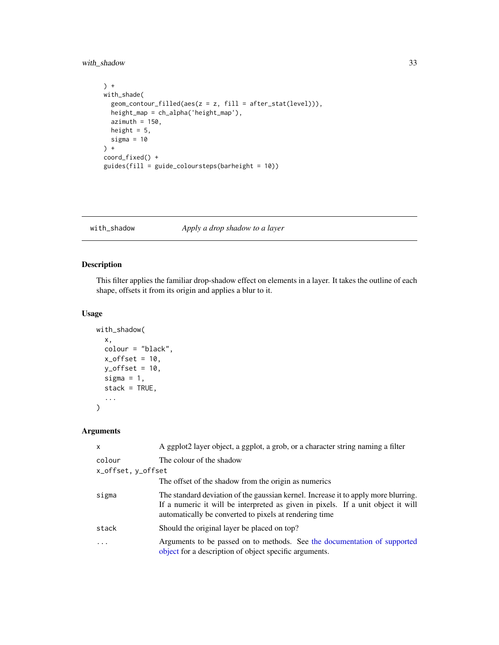<span id="page-32-0"></span>with\_shadow 33

```
) +
with_shade(
 geom_contour_filled(aes(z = z, fill = after_stat(level))),
 height_map = ch_alpha('height_map'),
 azimuth = 150,height = 5,
 sigma = 10) +
coord_fixed() +
guides(fill = guide_coloursteps(barheight = 10))
```
with\_shadow *Apply a drop shadow to a layer*

# Description

This filter applies the familiar drop-shadow effect on elements in a layer. It takes the outline of each shape, offsets it from its origin and applies a blur to it.

# Usage

```
with_shadow(
  x,
  colour = "black",
  x_{\text{offset}} = 10,
  y_{\text{offset}} = 10,
  sigma = 1,
  stack = TRUE,
   ...
\mathcal{L}
```
# Arguments

| $\mathsf{x}$       | A ggplot2 layer object, a ggplot, a grob, or a character string naming a filter                                                                                                                                                  |
|--------------------|----------------------------------------------------------------------------------------------------------------------------------------------------------------------------------------------------------------------------------|
| colour             | The colour of the shadow                                                                                                                                                                                                         |
| x_offset, y_offset |                                                                                                                                                                                                                                  |
|                    | The offset of the shadow from the origin as numerics                                                                                                                                                                             |
| sigma              | The standard deviation of the gaussian kernel. Increase it to apply more blurring.<br>If a numeric it will be interpreted as given in pixels. If a unit object it will<br>automatically be converted to pixels at rendering time |
| stack              | Should the original layer be placed on top?                                                                                                                                                                                      |
| $\ddotsc$          | Arguments to be passed on to methods. See the documentation of supported<br>object for a description of object specific arguments.                                                                                               |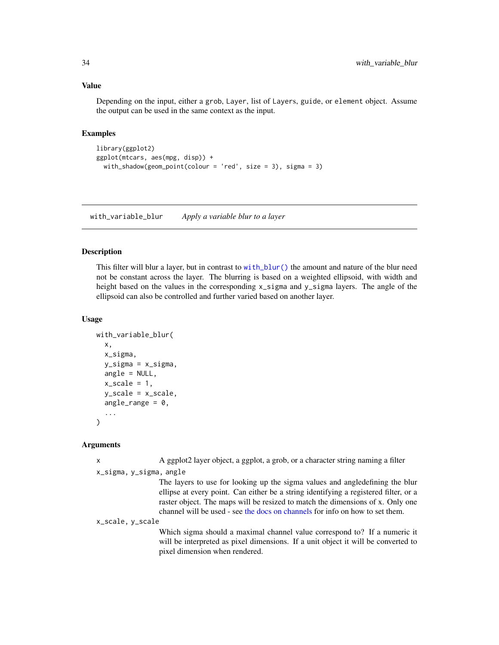# <span id="page-33-0"></span>Value

Depending on the input, either a grob, Layer, list of Layers, guide, or element object. Assume the output can be used in the same context as the input.

# Examples

```
library(ggplot2)
ggplot(mtcars, aes(mpg, disp)) +
 with_shadow(geom_point(colour = 'red', size = 3), sigma = 3)
```
<span id="page-33-1"></span>with\_variable\_blur *Apply a variable blur to a layer*

# Description

This filter will blur a layer, but in contrast to [with\\_blur\(\)](#page-17-1) the amount and nature of the blur need not be constant across the layer. The blurring is based on a weighted ellipsoid, with width and height based on the values in the corresponding x\_sigma and y\_sigma layers. The angle of the ellipsoid can also be controlled and further varied based on another layer.

#### Usage

```
with_variable_blur(
 x,
  x_sigma,
  y_sigma = x_sigma,
  angle = NULL,
 x_scale = 1,
 y_scale = x_scale,
 angle_range = 0,
  ...
)
```
#### Arguments

x A ggplot2 layer object, a ggplot, a grob, or a character string naming a filter

```
x_sigma, y_sigma, angle
```
The layers to use for looking up the sigma values and angledefining the blur ellipse at every point. Can either be a string identifying a registered filter, or a raster object. The maps will be resized to match the dimensions of x. Only one channel will be used - see [the docs on channels](#page-4-2) for info on how to set them.

x\_scale, y\_scale

Which sigma should a maximal channel value correspond to? If a numeric it will be interpreted as pixel dimensions. If a unit object it will be converted to pixel dimension when rendered.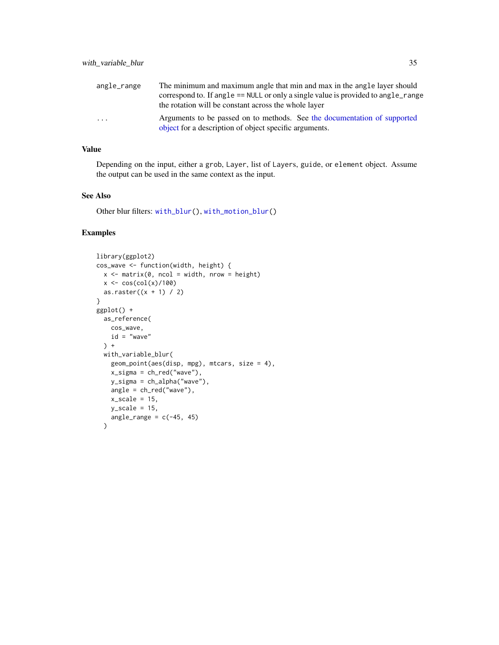<span id="page-34-0"></span>

| angle_range             | The minimum and maximum angle that min and max in the angle layer should                                                           |
|-------------------------|------------------------------------------------------------------------------------------------------------------------------------|
|                         | correspond to. If angle == NULL or only a single value is provided to angle_range                                                  |
|                         | the rotation will be constant across the whole layer                                                                               |
| $\cdot$ $\cdot$ $\cdot$ | Arguments to be passed on to methods. See the documentation of supported<br>object for a description of object specific arguments. |

# Value

Depending on the input, either a grob, Layer, list of Layers, guide, or element object. Assume the output can be used in the same context as the input.

## See Also

Other blur filters: [with\\_blur\(](#page-17-1)), [with\\_motion\\_blur\(](#page-27-1))

# Examples

```
library(ggplot2)
cos_wave <- function(width, height) {
  x \le - matrix(0, ncol = width, nrow = height)
  x \leq \cos(\text{col}(x)/100)as.raster((x + 1) / 2)}
ggplot() +
  as_reference(
   cos_wave,
   id = "wave") +
  with_variable_blur(
    geom_point(aes(disp, mpg), mtcars, size = 4),
    x_sigma = ch_red("wave"),
    y_sigma = ch_alpha("wave"),
    angle = ch_red("wave"),
    x_scale = 15,
    y_scale = 15,
    angle_range = c(-45, 45)\mathcal{L}
```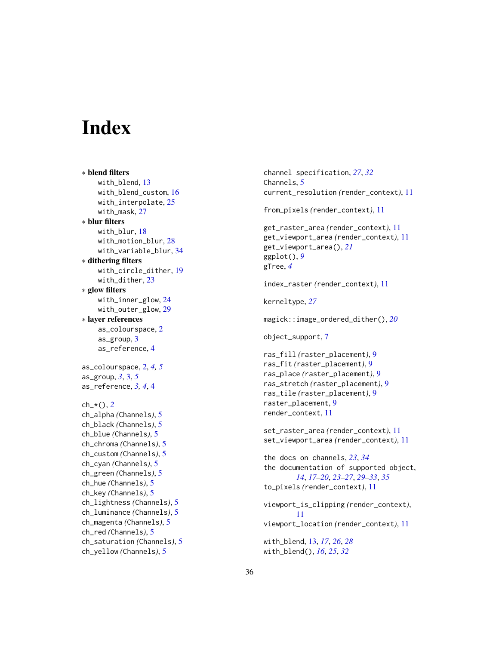# <span id="page-35-0"></span>**Index**

∗ blend filters with\_blend, [13](#page-12-0) with\_blend\_custom , [16](#page-15-0) with\_interpolate , [25](#page-24-0) with\_mask , [27](#page-26-0) ∗ blur filters with\_blur , [18](#page-17-0) with\_motion\_blur , [28](#page-27-0) with\_variable\_blur , [34](#page-33-0) ∗ dithering filters with\_circle\_dither , [19](#page-18-0) with\_dither, [23](#page-22-0) ∗ glow filters with\_inner\_glow , [24](#page-23-0) with\_outer\_glow , [29](#page-28-0) ∗ layer references as\_colourspace , [2](#page-1-0) as\_group , [3](#page-2-0) as\_reference , [4](#page-3-0) as\_colourspace , [2](#page-1-0) , *[4](#page-3-0) , [5](#page-4-0)* as\_group , *[3](#page-2-0)* , [3](#page-2-0) , *[5](#page-4-0)* as\_reference , *[3](#page-2-0) , [4](#page-3-0)* , [4](#page-3-0) ch\_\*() , *[2](#page-1-0)* ch\_alpha *(*Channels *)* , [5](#page-4-0) ch\_black *(*Channels *)* , [5](#page-4-0) ch\_blue *(*Channels *)* , [5](#page-4-0) ch\_chroma *(*Channels *)* , [5](#page-4-0) ch\_custom *(*Channels *)* , [5](#page-4-0) ch\_cyan *(*Channels *)* , [5](#page-4-0) ch\_green *(*Channels *)* , [5](#page-4-0) ch\_hue *(*Channels *)* , [5](#page-4-0) ch\_key *(*Channels *)* , [5](#page-4-0) ch\_lightness *(*Channels *)* , [5](#page-4-0) ch\_luminance *(*Channels *)* , [5](#page-4-0) ch\_magenta *(*Channels *)* , [5](#page-4-0) ch\_red *(*Channels *)* , [5](#page-4-0) ch\_saturation *(*Channels *)* , [5](#page-4-0) ch\_yellow *(*Channels *)* , [5](#page-4-0)

channel specification , *[27](#page-26-0)* , *[32](#page-31-0)* Channels, [5](#page-4-0) current\_resolution *(*render\_context *)* , [11](#page-10-0) from\_pixels *(*render\_context *)* , [11](#page-10-0) get\_raster\_area *(*render\_context *)* , [11](#page-10-0) get\_viewport\_area *(*render\_context *)* , [11](#page-10-0) get\_viewport\_area() , *[21](#page-20-0)* ggplot() , *[9](#page-8-0)* gTree , *[4](#page-3-0)* index\_raster *(*render\_context *)* , [11](#page-10-0) kerneltype , *[27](#page-26-0)* magick::image\_ordered\_dither() , *[20](#page-19-0)* object\_support , [7](#page-6-0) ras\_fill *(*raster\_placement *)* , [9](#page-8-0) ras\_fit *(*raster\_placement *)* , [9](#page-8-0) ras\_place *(*raster\_placement *)* , [9](#page-8-0) ras\_stretch *(*raster\_placement *)* , [9](#page-8-0) ras\_tile *(*raster\_placement *)* , [9](#page-8-0) raster\_placement , [9](#page-8-0) render\_context , [11](#page-10-0) set\_raster\_area *(*render\_context *)* , [11](#page-10-0) set\_viewport\_area *(*render\_context *)* , [11](#page-10-0) the docs on channels , *[23](#page-22-0)* , *[34](#page-33-0)* the documentation of supported object , *[14](#page-13-0)* , *[17](#page-16-0)[–20](#page-19-0)* , *[23](#page-22-0) [–27](#page-26-0)* , *[29](#page-28-0) [–33](#page-32-0)* , *[35](#page-34-0)* to\_pixels *(*render\_context *)* , [11](#page-10-0) viewport\_is\_clipping *(*render\_context *)* , [11](#page-10-0) viewport\_location *(*render\_context *)* , [11](#page-10-0) with\_blend , [13](#page-12-0) , *[17](#page-16-0)* , *[26](#page-25-0)* , *[28](#page-27-0)* with\_blend() , *[16](#page-15-0)* , *[25](#page-24-0)* , *[32](#page-31-0)*